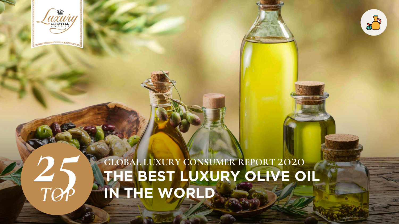

*TOP*

# *25* **THE BEST LUXURY OLIVE OIL IN THE WORLD GLOBAL LUXURY CONSUMER REPORT** 2020

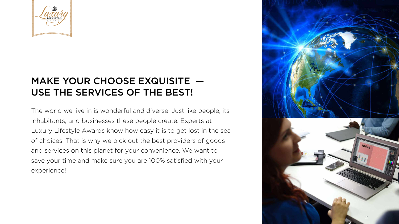The world we live in is wonderful and diverse. Just like people, its inhabitants, and businesses these people create. Experts at Luxury Lifestyle Awards know how easy it is to get lost in the sea of choices. That is why we pick out the best providers of goods and services on this planet for your convenience. We want to save your time and make sure you are 100% satisfied with your experience!

- 
- 



## MAKE YOUR CHOOSE EXQUISITE — USE THE SERVICES OF THE BEST!

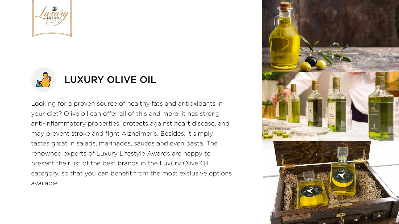Looking for a proven source of healthy fats and antioxidants in your diet? Olive oil can offer all of this and more: it has strong anti-inflammatory properties, protects against heart disease, and may prevent stroke and fight Alzheimer's. Besides, it simply tastes great in salads, marinades, sauces and even pasta. The renowned experts of Luxury Lifestyle Awards are happy to present their list of the best brands in the Luxury Olive Oil category, so that you can benefit from the most exclusive options available.



- 
- 
- 
- 
- 
- 
- 





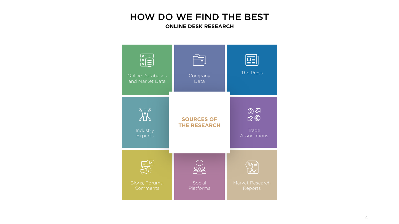### HOW DO WE FIND THE BEST **ONLINE DESK RESEARCH**



Blogs, Forums, Comments

Online Databases and Market Data





Industry

Experts

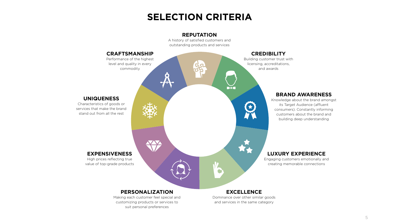## **SELECTION CRITERIA**

### **REPUTATION**

A history of satisfied customers and outstanding products and services



#### **EXCELLENCE**

Dominance over other similar goods and services in the same category

#### **PERSONALIZATION**

Making each customer feel special and customizing products or services to suit personal preferences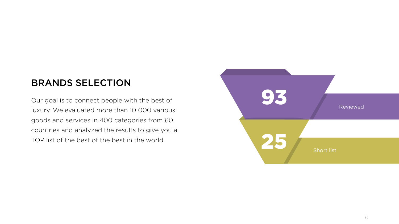

### BRANDS SELECTION



Our goal is to connect people with the best of luxury. We evaluated more than 10 000 various goods and services in 400 categories from 60 countries and analyzed the results to give you a TOP list of the best of the best in the world.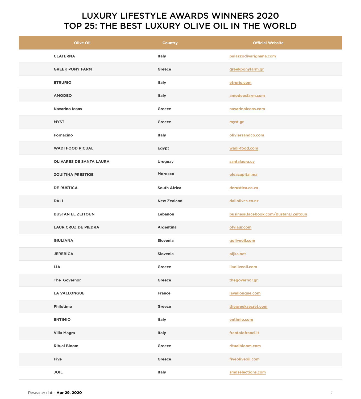### LUXURY LIFESTYLE AWARDS WINNERS 2020 TOP 25: THE BEST LUXURY OLIVE OIL IN THE WORLD



| <b>Olive Oil</b>               | <b>Country</b>      | <b>Official Website</b>               |
|--------------------------------|---------------------|---------------------------------------|
| <b>CLATERNA</b>                | <b>Italy</b>        | palazzodivarignana.com                |
| <b>GREEK PONY FARM</b>         | <b>Greece</b>       | greekponyfarm.gr                      |
| <b>ETRURIO</b>                 | <b>Italy</b>        | etrurio.com                           |
| <b>AMODEO</b>                  | <b>Italy</b>        | amodeosfarm.com                       |
| <b>Navarino Icons</b>          | <b>Greece</b>       | navarinoicons.com                     |
| <b>MYST</b>                    | Greece              | myst.gr                               |
| <b>Fornacino</b>               | <b>Italy</b>        | oliviersandco.com                     |
| <b>WADI FOOD PICUAL</b>        | <b>Egypt</b>        | wadi-food.com                         |
| <b>OLIVARES DE SANTA LAURA</b> | <b>Uruguay</b>      | santalaura.uy                         |
| <b>ZOUITINA PRESTIGE</b>       | <b>Morocco</b>      | oleacapital.ma                        |
| <b>DE RUSTICA</b>              | <b>South Africa</b> | derustica.co.za                       |
| <b>DALI</b>                    | <b>New Zealand</b>  | daliolives.co.nz                      |
| <b>BUSTAN EL ZEITOUN</b>       | Lebanon             | business.facebook.com/BustanElZeitoun |
| <b>LAUR CRUZ DE PIEDRA</b>     | <b>Argentina</b>    | olvlaur.com                           |
| <b>GIULIANA</b>                | <b>Slovenia</b>     | goliveoil.com                         |
| <b>JEREBICA</b>                | <b>Slovenia</b>     | oljka.net                             |
| <b>LIA</b>                     | <b>Greece</b>       | liaoliveoil.com                       |
| The Governor                   | <b>Greece</b>       | thegovernor.gr                        |
| <b>LA VALLONGUE</b>            | <b>France</b>       | lavallongue.com                       |
| <b>Philotimo</b>               | <b>Greece</b>       | thegreeksecret.com                    |
| <b>ENTIMIO</b>                 | <b>Italy</b>        | entimio.com                           |
| <b>Villa Magra</b>             | <b>Italy</b>        | frantoiofranci.it                     |

| <b>Ritual Bloom</b> | <b>Greece</b> | ritualbloom.com   |
|---------------------|---------------|-------------------|
| <b>Five</b>         | <b>Greece</b> | fiveoliveoil.com  |
| <b>JOIL</b>         | <b>Italy</b>  | smdselections.com |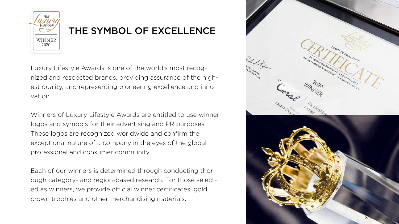Luxury Lifestyle Awards is one of the world's most recognized and respected brands, providing assurance of the highest quality, and representing pioneering excellence and innovation.

Winners of Luxury Lifestyle Awards are entitled to use winner logos and symbols for their advertising and PR purposes. These logos are recognized worldwide and confirm the exceptional nature of а company in the eyes of the global professional and consumer community.

Each of our winners is determined through conducting thorough category- and region-based research. For those selected as winners, we provide official winner certificates, gold crown trophies and other merchandising materials.



### THE SYMBOL OF EXCELLENCE

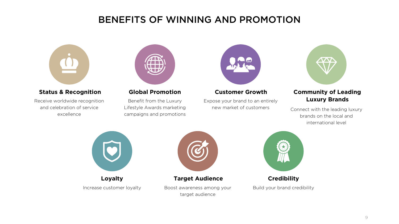#### **Status & Recognition**

Receive worldwide recognition and celebration of service excellence



#### **Global Promotion**

Benefit from the Luxury Lifestyle Awards marketing campaigns and promotions



#### **Customer Growth**

Expose your brand to an entirely new market of customers



**Loyalty** Increase customer loyalty

#### **Target Audience**



Boost awareness among your target audience



### **Credibility**

Build your brand credibility

### **Community of Leading Luxury Brands**

Connect with the leading luxury brands on the local and international level



### BENEFITS OF WINNING AND PROMOTION